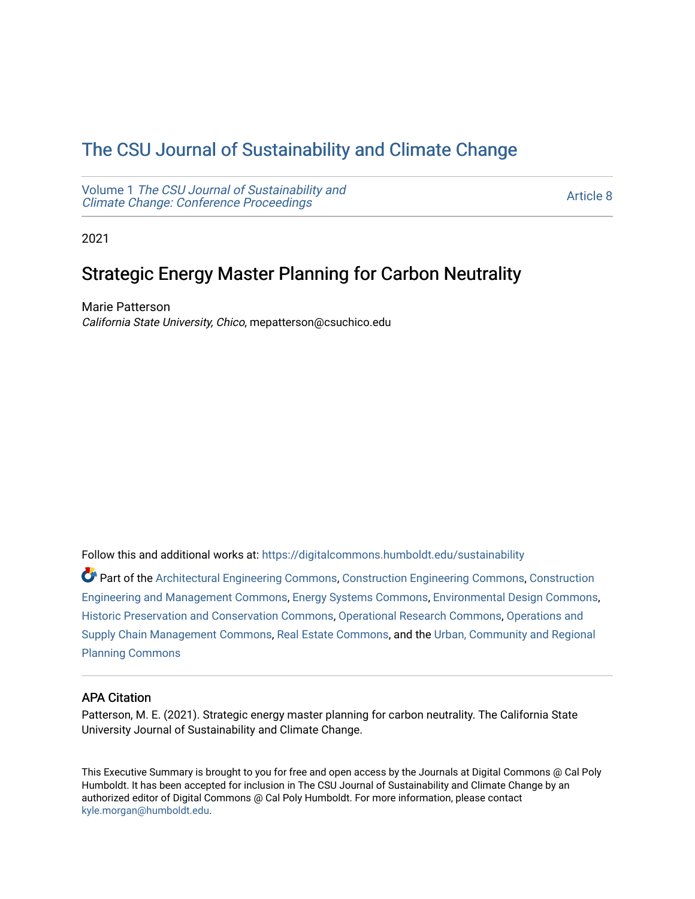# [The CSU Journal of Sustainability and Climate Change](https://digitalcommons.humboldt.edu/sustainability)

Volume 1 [The CSU Journal of Sustainability and](https://digitalcommons.humboldt.edu/sustainability/vol1) [Climate Change: Conference Proceedings](https://digitalcommons.humboldt.edu/sustainability/vol1) 

[Article 8](https://digitalcommons.humboldt.edu/sustainability/vol1/iss1/8) 

2021

# Strategic Energy Master Planning for Carbon Neutrality

Marie Patterson California State University, Chico, mepatterson@csuchico.edu

Follow this and additional works at: [https://digitalcommons.humboldt.edu/sustainability](https://digitalcommons.humboldt.edu/sustainability?utm_source=digitalcommons.humboldt.edu%2Fsustainability%2Fvol1%2Fiss1%2F8&utm_medium=PDF&utm_campaign=PDFCoverPages)

Part of the [Architectural Engineering Commons](http://network.bepress.com/hgg/discipline/774?utm_source=digitalcommons.humboldt.edu%2Fsustainability%2Fvol1%2Fiss1%2F8&utm_medium=PDF&utm_campaign=PDFCoverPages), [Construction Engineering Commons](http://network.bepress.com/hgg/discipline/775?utm_source=digitalcommons.humboldt.edu%2Fsustainability%2Fvol1%2Fiss1%2F8&utm_medium=PDF&utm_campaign=PDFCoverPages), [Construction](http://network.bepress.com/hgg/discipline/253?utm_source=digitalcommons.humboldt.edu%2Fsustainability%2Fvol1%2Fiss1%2F8&utm_medium=PDF&utm_campaign=PDFCoverPages)  [Engineering and Management Commons](http://network.bepress.com/hgg/discipline/253?utm_source=digitalcommons.humboldt.edu%2Fsustainability%2Fvol1%2Fiss1%2F8&utm_medium=PDF&utm_campaign=PDFCoverPages), [Energy Systems Commons](http://network.bepress.com/hgg/discipline/299?utm_source=digitalcommons.humboldt.edu%2Fsustainability%2Fvol1%2Fiss1%2F8&utm_medium=PDF&utm_campaign=PDFCoverPages), [Environmental Design Commons](http://network.bepress.com/hgg/discipline/777?utm_source=digitalcommons.humboldt.edu%2Fsustainability%2Fvol1%2Fiss1%2F8&utm_medium=PDF&utm_campaign=PDFCoverPages), [Historic Preservation and Conservation Commons,](http://network.bepress.com/hgg/discipline/781?utm_source=digitalcommons.humboldt.edu%2Fsustainability%2Fvol1%2Fiss1%2F8&utm_medium=PDF&utm_campaign=PDFCoverPages) [Operational Research Commons](http://network.bepress.com/hgg/discipline/308?utm_source=digitalcommons.humboldt.edu%2Fsustainability%2Fvol1%2Fiss1%2F8&utm_medium=PDF&utm_campaign=PDFCoverPages), [Operations and](http://network.bepress.com/hgg/discipline/1229?utm_source=digitalcommons.humboldt.edu%2Fsustainability%2Fvol1%2Fiss1%2F8&utm_medium=PDF&utm_campaign=PDFCoverPages)  [Supply Chain Management Commons,](http://network.bepress.com/hgg/discipline/1229?utm_source=digitalcommons.humboldt.edu%2Fsustainability%2Fvol1%2Fiss1%2F8&utm_medium=PDF&utm_campaign=PDFCoverPages) [Real Estate Commons,](http://network.bepress.com/hgg/discipline/641?utm_source=digitalcommons.humboldt.edu%2Fsustainability%2Fvol1%2Fiss1%2F8&utm_medium=PDF&utm_campaign=PDFCoverPages) and the [Urban, Community and Regional](http://network.bepress.com/hgg/discipline/776?utm_source=digitalcommons.humboldt.edu%2Fsustainability%2Fvol1%2Fiss1%2F8&utm_medium=PDF&utm_campaign=PDFCoverPages)  [Planning Commons](http://network.bepress.com/hgg/discipline/776?utm_source=digitalcommons.humboldt.edu%2Fsustainability%2Fvol1%2Fiss1%2F8&utm_medium=PDF&utm_campaign=PDFCoverPages)

# APA Citation

Patterson, M. E. (2021). Strategic energy master planning for carbon neutrality. The California State University Journal of Sustainability and Climate Change.

This Executive Summary is brought to you for free and open access by the Journals at Digital Commons @ Cal Poly Humboldt. It has been accepted for inclusion in The CSU Journal of Sustainability and Climate Change by an authorized editor of Digital Commons @ Cal Poly Humboldt. For more information, please contact [kyle.morgan@humboldt.edu](mailto:kyle.morgan@humboldt.edu).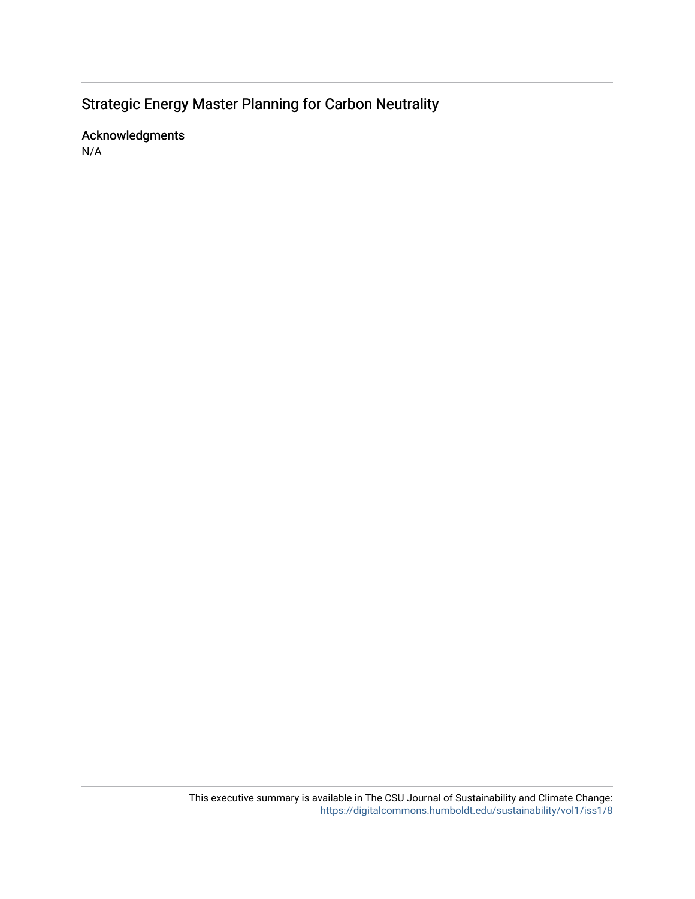# Strategic Energy Master Planning for Carbon Neutrality

Acknowledgments N/A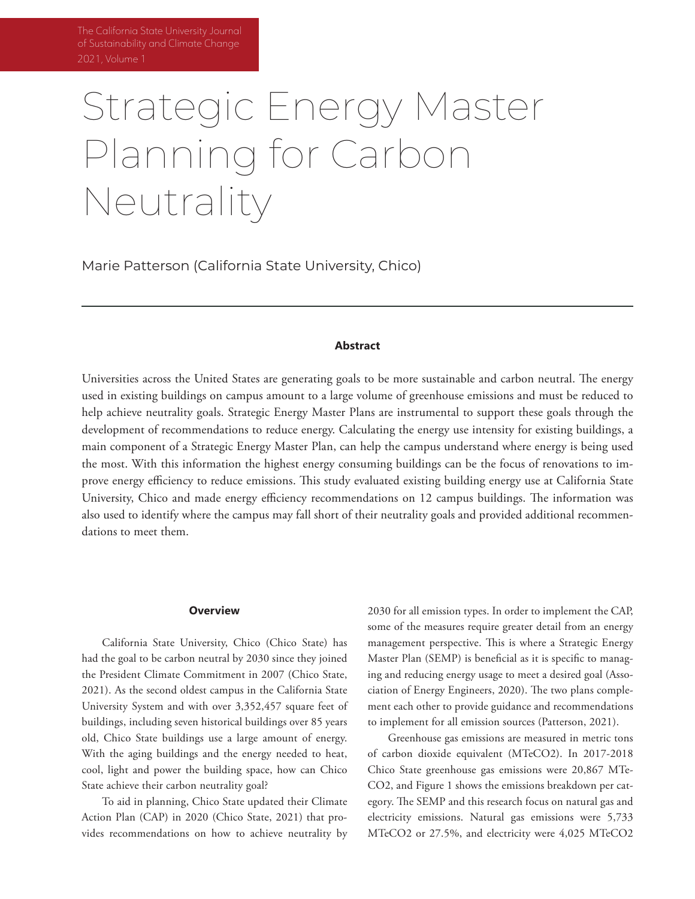# Strategic Energy Master Planning for Carbon Neutrality

Marie Patterson (California State University, Chico)

## **Abstract**

Universities across the United States are generating goals to be more sustainable and carbon neutral. The energy used in existing buildings on campus amount to a large volume of greenhouse emissions and must be reduced to help achieve neutrality goals. Strategic Energy Master Plans are instrumental to support these goals through the development of recommendations to reduce energy. Calculating the energy use intensity for existing buildings, a main component of a Strategic Energy Master Plan, can help the campus understand where energy is being used the most. With this information the highest energy consuming buildings can be the focus of renovations to improve energy efficiency to reduce emissions. This study evaluated existing building energy use at California State University, Chico and made energy efficiency recommendations on 12 campus buildings. The information was also used to identify where the campus may fall short of their neutrality goals and provided additional recommendations to meet them.

### **Overview**

California State University, Chico (Chico State) has had the goal to be carbon neutral by 2030 since they joined the President Climate Commitment in 2007 (Chico State, 2021). As the second oldest campus in the California State University System and with over 3,352,457 square feet of buildings, including seven historical buildings over 85 years old, Chico State buildings use a large amount of energy. With the aging buildings and the energy needed to heat, cool, light and power the building space, how can Chico State achieve their carbon neutrality goal?

To aid in planning, Chico State updated their Climate Action Plan (CAP) in 2020 (Chico State, 2021) that provides recommendations on how to achieve neutrality by

2030 for all emission types. In order to implement the CAP, some of the measures require greater detail from an energy management perspective. This is where a Strategic Energy Master Plan (SEMP) is beneficial as it is specific to managing and reducing energy usage to meet a desired goal (Association of Energy Engineers, 2020). The two plans complement each other to provide guidance and recommendations to implement for all emission sources (Patterson, 2021).

Greenhouse gas emissions are measured in metric tons of carbon dioxide equivalent (MTeCO2). In 2017-2018 Chico State greenhouse gas emissions were 20,867 MTe-CO2, and Figure 1 shows the emissions breakdown per category. The SEMP and this research focus on natural gas and electricity emissions. Natural gas emissions were 5,733 MTeCO2 or 27.5%, and electricity were 4,025 MTeCO2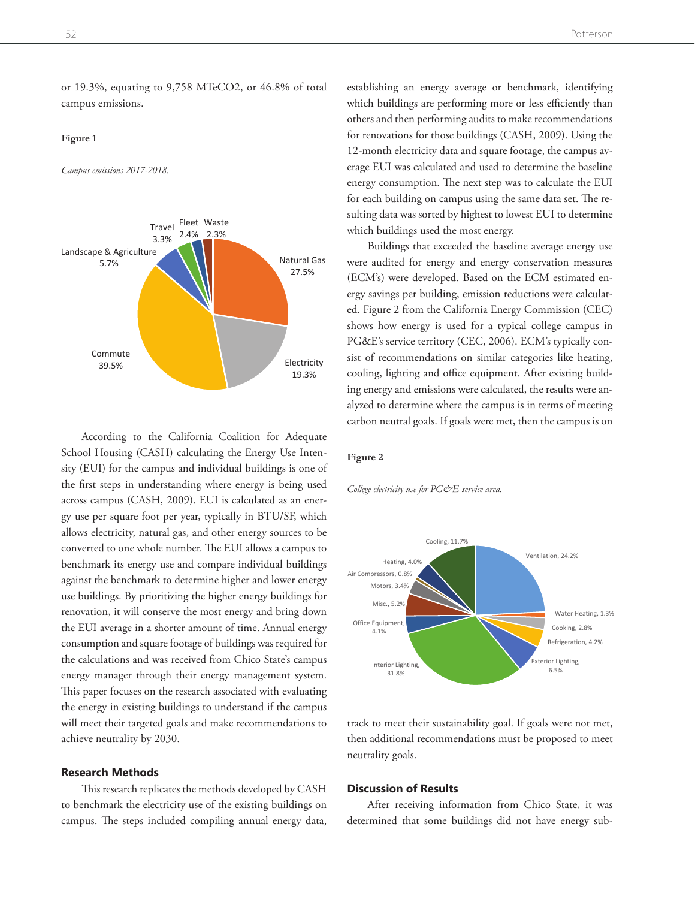or 19.3%, equating to 9,758 MTeCO2, or 46.8% of total campus emissions.

#### **Figure 1** *Campus emissions 2017-2018.*

*Campus emissions 2017-2018.*



According to the California Coalition for Adequate School Housing (CASH) calculating the Energy Use Intensity (EUI) for the campus and individual buildings is one of the first steps in understanding where energy is being used across campus (CASH, 2009). EUI is calculated as an energy use per square foot per year, typically in BTU/SF, which allows electricity, natural gas, and other energy sources to be converted to one whole number. The EUI allows a campus to benchmark its energy use and compare individual buildings against the benchmark to determine higher and lower energy use buildings. By prioritizing the higher energy buildings for renovation, it will conserve the most energy and bring down the EUI average in a shorter amount of time. Annual energy consumption and square footage of buildings was required for the calculations and was received from Chico State's campus energy manager through their energy management system. This paper focuses on the research associated with evaluating the energy in existing buildings to understand if the campus will meet their targeted goals and make recommendations to achieve neutrality by 2030. recommendations must be proposed to meet neutrality goals. *College electricity use for PG&E service area.*

# **Research Methods**

This research replicates the methods developed by CASH to benchmark the electricity use of the existing buildings on campus. The steps included compiling annual energy data, establishing an energy average or benchmark, identifying which buildings are performing more or less efficiently than others and then performing audits to make recommendations for renovations for those buildings (CASH, 2009). Using the 12-month electricity data and square footage, the campus average EUI was calculated and used to determine the baseline energy consumption. The next step was to calculate the EUI for each building on campus using the same data set. The resulting data was sorted by highest to lowest EUI to determine which buildings used the most energy.

Buildings that exceeded the baseline average energy use were audited for energy and energy conservation measures (ECM's) were developed. Based on the ECM estimated energy savings per building, emission reductions were calculated. Figure 2 from the California Energy Commission (CEC) shows how energy is used for a typical college campus in PG&E's service territory (CEC, 2006). ECM's typically conrity sist of recommendations on similar categories like heating,  $\%$  cooling, lighting and office equipment. After existing building energy and emissions were calculated, the results were andetermine where the campus is in terms of meeting alyzed to determine where the campus is in terms of meeting carbon neutral goals. If goals were met, then the campus is on

#### **Figure 2**

*College electricity use for PG&E service area.*



track to meet their sustainability goal. If goals were not met, then additional recommendations must be proposed to meet neutrality goals. several buildings did not have 12 months of accurate electricity data. Based on this, see also see this, see a

# **Discussion of Results**

After receiving information from Chico State, it was determined that some buildings did not have energy sub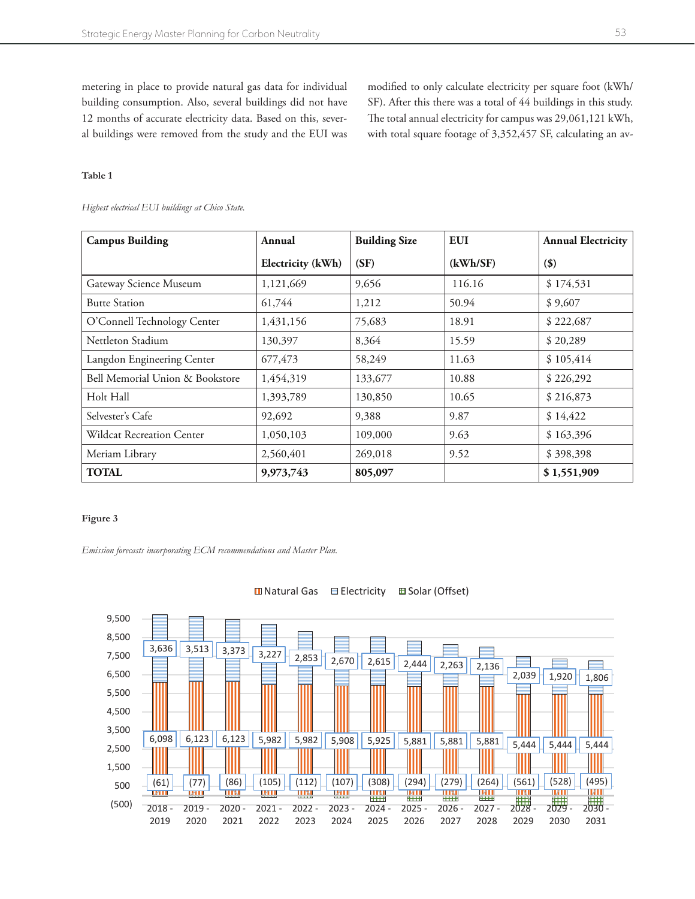metering in place to provide natural gas data for individual building consumption. Also, several buildings did not have 12 months of accurate electricity data. Based on this, several buildings were removed from the study and the EUI was

modified to only calculate electricity per square foot (kWh/ SF). After this there was a total of 44 buildings in this study. The total annual electricity for campus was 29,061,121 kWh, with total square footage of 3,352,457 SF, calculating an av-

# **Table 1**

*Highest electrical EUI buildings at Chico State.* 

| <b>Campus Building</b>          | Annual            | <b>Building Size</b> | <b>EUI</b> | <b>Annual Electricity</b> |
|---------------------------------|-------------------|----------------------|------------|---------------------------|
|                                 | Electricity (kWh) | (SF)                 | (kWh/SF)   | $($ \$                    |
| Gateway Science Museum          | 1,121,669         | 9,656                | 116.16     | \$174,531                 |
| <b>Butte Station</b>            | 61,744            | 1,212                | 50.94      | \$9,607                   |
| O'Connell Technology Center     | 1,431,156         | 75,683               | 18.91      | \$222,687                 |
| Nettleton Stadium               | 130,397           | 8,364                | 15.59      | \$20,289                  |
| Langdon Engineering Center      | 677,473           | 58,249               | 11.63      | \$105,414                 |
| Bell Memorial Union & Bookstore | 1,454,319         | 133,677              | 10.88      | \$226,292                 |
| Holt Hall                       | 1,393,789         | 130,850              | 10.65      | \$216,873                 |
| Selvester's Cafe                | 92,692            | 9,388                | 9.87       | \$14,422                  |
| Wildcat Recreation Center       | 1,050,103         | 109,000              | 9.63       | \$163,396                 |
| Meriam Library                  | 2,560,401         | 269,018              | 9.52       | \$398,398                 |
| <b>TOTAL</b>                    | 9,973,743         | 805,097              |            | \$1,551,909               |

## **Figure 3**

*Emission forecasts incorporating ECM recommendations and Master Plan.*